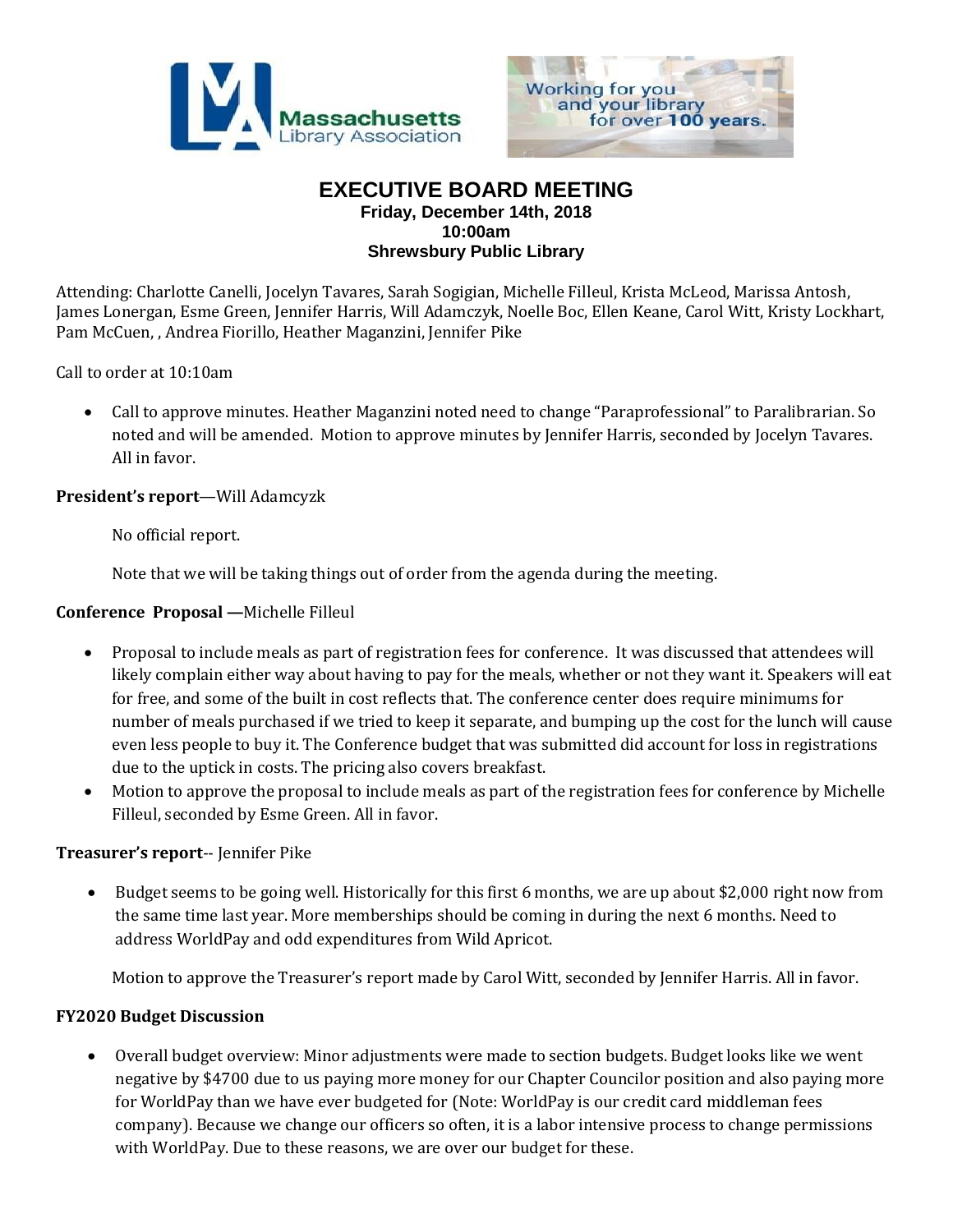



## **EXECUTIVE BOARD MEETING Friday, December 14th, 2018 10:00am Shrewsbury Public Library**

Attending: Charlotte Canelli, Jocelyn Tavares, Sarah Sogigian, Michelle Filleul, Krista McLeod, Marissa Antosh, James Lonergan, Esme Green, Jennifer Harris, Will Adamczyk, Noelle Boc, Ellen Keane, Carol Witt, Kristy Lockhart, Pam McCuen, , Andrea Fiorillo, Heather Maganzini, Jennifer Pike

Call to order at 10:10am

 Call to approve minutes. Heather Maganzini noted need to change "Paraprofessional" to Paralibrarian. So noted and will be amended. Motion to approve minutes by Jennifer Harris, seconded by Jocelyn Tavares. All in favor.

### **President's report**—Will Adamcyzk

No official report.

Note that we will be taking things out of order from the agenda during the meeting.

#### **Conference Proposal —**Michelle Filleul

- Proposal to include meals as part of registration fees for conference. It was discussed that attendees will likely complain either way about having to pay for the meals, whether or not they want it. Speakers will eat for free, and some of the built in cost reflects that. The conference center does require minimums for number of meals purchased if we tried to keep it separate, and bumping up the cost for the lunch will cause even less people to buy it. The Conference budget that was submitted did account for loss in registrations due to the uptick in costs. The pricing also covers breakfast.
- Motion to approve the proposal to include meals as part of the registration fees for conference by Michelle Filleul, seconded by Esme Green. All in favor.

#### **Treasurer's report**-- Jennifer Pike

 Budget seems to be going well. Historically for this first 6 months, we are up about \$2,000 right now from the same time last year. More memberships should be coming in during the next 6 months. Need to address WorldPay and odd expenditures from Wild Apricot.

Motion to approve the Treasurer's report made by Carol Witt, seconded by Jennifer Harris. All in favor.

#### **FY2020 Budget Discussion**

 Overall budget overview: Minor adjustments were made to section budgets. Budget looks like we went negative by \$4700 due to us paying more money for our Chapter Councilor position and also paying more for WorldPay than we have ever budgeted for (Note: WorldPay is our credit card middleman fees company). Because we change our officers so often, it is a labor intensive process to change permissions with WorldPay. Due to these reasons, we are over our budget for these.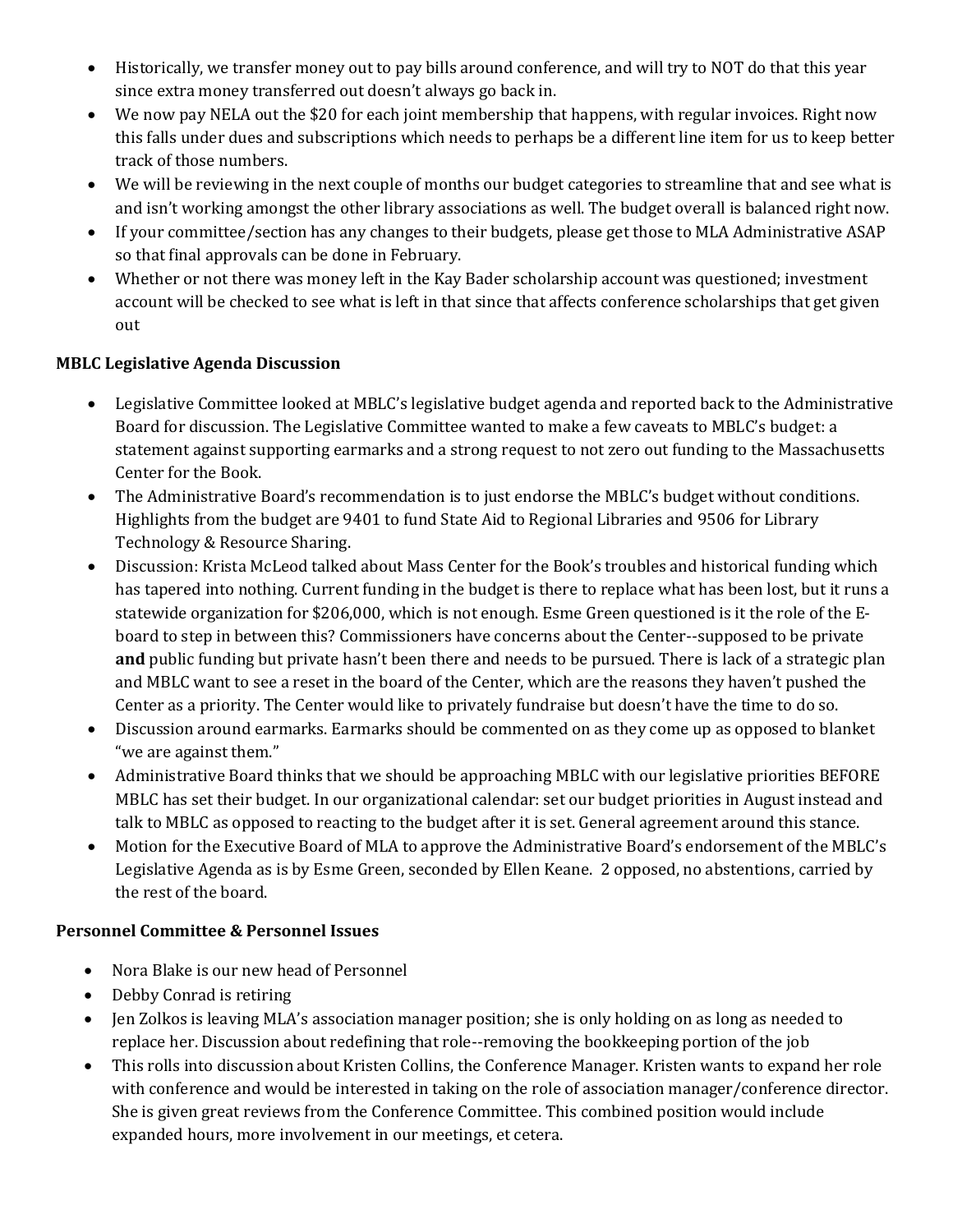- Historically, we transfer money out to pay bills around conference, and will try to NOT do that this year since extra money transferred out doesn't always go back in.
- We now pay NELA out the \$20 for each joint membership that happens, with regular invoices. Right now this falls under dues and subscriptions which needs to perhaps be a different line item for us to keep better track of those numbers.
- We will be reviewing in the next couple of months our budget categories to streamline that and see what is and isn't working amongst the other library associations as well. The budget overall is balanced right now.
- If your committee/section has any changes to their budgets, please get those to MLA Administrative ASAP so that final approvals can be done in February.
- Whether or not there was money left in the Kay Bader scholarship account was questioned; investment account will be checked to see what is left in that since that affects conference scholarships that get given out

## **MBLC Legislative Agenda Discussion**

- Legislative Committee looked at MBLC's legislative budget agenda and reported back to the Administrative Board for discussion. The Legislative Committee wanted to make a few caveats to MBLC's budget: a statement against supporting earmarks and a strong request to not zero out funding to the Massachusetts Center for the Book.
- The Administrative Board's recommendation is to just endorse the MBLC's budget without conditions. Highlights from the budget are 9401 to fund State Aid to Regional Libraries and 9506 for Library Technology & Resource Sharing.
- Discussion: Krista McLeod talked about Mass Center for the Book's troubles and historical funding which has tapered into nothing. Current funding in the budget is there to replace what has been lost, but it runs a statewide organization for \$206,000, which is not enough. Esme Green questioned is it the role of the Eboard to step in between this? Commissioners have concerns about the Center--supposed to be private **and** public funding but private hasn't been there and needs to be pursued. There is lack of a strategic plan and MBLC want to see a reset in the board of the Center, which are the reasons they haven't pushed the Center as a priority. The Center would like to privately fundraise but doesn't have the time to do so.
- Discussion around earmarks. Earmarks should be commented on as they come up as opposed to blanket "we are against them."
- Administrative Board thinks that we should be approaching MBLC with our legislative priorities BEFORE MBLC has set their budget. In our organizational calendar: set our budget priorities in August instead and talk to MBLC as opposed to reacting to the budget after it is set. General agreement around this stance.
- Motion for the Executive Board of MLA to approve the Administrative Board's endorsement of the MBLC's Legislative Agenda as is by Esme Green, seconded by Ellen Keane. 2 opposed, no abstentions, carried by the rest of the board.

## **Personnel Committee & Personnel Issues**

- Nora Blake is our new head of Personnel
- Debby Conrad is retiring
- Jen Zolkos is leaving MLA's association manager position; she is only holding on as long as needed to replace her. Discussion about redefining that role--removing the bookkeeping portion of the job
- This rolls into discussion about Kristen Collins, the Conference Manager. Kristen wants to expand her role with conference and would be interested in taking on the role of association manager/conference director. She is given great reviews from the Conference Committee. This combined position would include expanded hours, more involvement in our meetings, et cetera.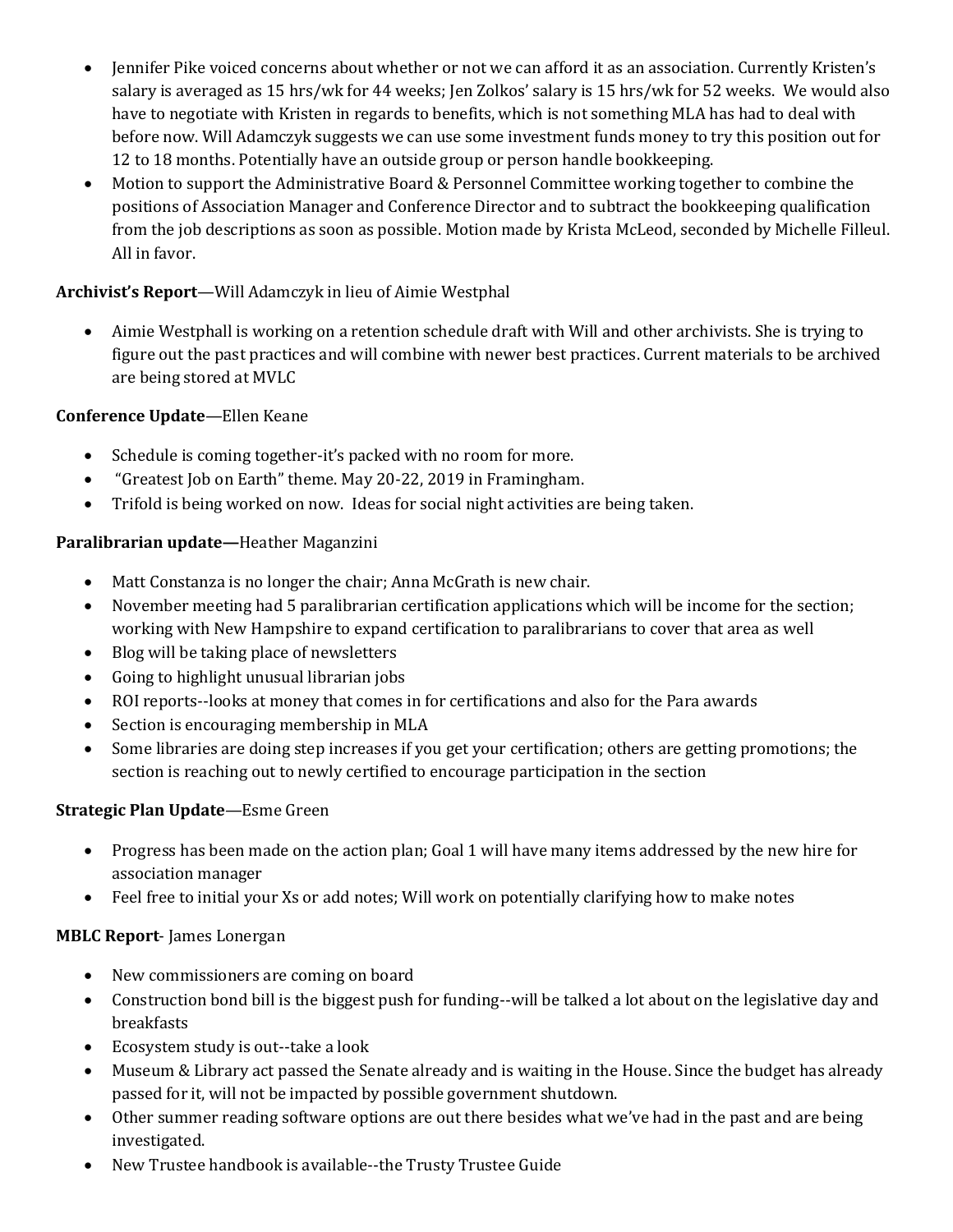- Jennifer Pike voiced concerns about whether or not we can afford it as an association. Currently Kristen's salary is averaged as 15 hrs/wk for 44 weeks; Jen Zolkos' salary is 15 hrs/wk for 52 weeks. We would also have to negotiate with Kristen in regards to benefits, which is not something MLA has had to deal with before now. Will Adamczyk suggests we can use some investment funds money to try this position out for 12 to 18 months. Potentially have an outside group or person handle bookkeeping.
- Motion to support the Administrative Board & Personnel Committee working together to combine the positions of Association Manager and Conference Director and to subtract the bookkeeping qualification from the job descriptions as soon as possible. Motion made by Krista McLeod, seconded by Michelle Filleul. All in favor.

## **Archivist's Report**—Will Adamczyk in lieu of Aimie Westphal

 Aimie Westphall is working on a retention schedule draft with Will and other archivists. She is trying to figure out the past practices and will combine with newer best practices. Current materials to be archived are being stored at MVLC

## **Conference Update**—Ellen Keane

- Schedule is coming together-it's packed with no room for more.
- "Greatest Job on Earth" theme. May 20-22, 2019 in Framingham.
- Trifold is being worked on now. Ideas for social night activities are being taken.

# **Paralibrarian update—**Heather Maganzini

- Matt Constanza is no longer the chair; Anna McGrath is new chair.
- November meeting had 5 paralibrarian certification applications which will be income for the section; working with New Hampshire to expand certification to paralibrarians to cover that area as well
- Blog will be taking place of newsletters
- Going to highlight unusual librarian jobs
- ROI reports--looks at money that comes in for certifications and also for the Para awards
- Section is encouraging membership in MLA
- Some libraries are doing step increases if you get your certification; others are getting promotions; the section is reaching out to newly certified to encourage participation in the section

## **Strategic Plan Update**—Esme Green

- Progress has been made on the action plan; Goal 1 will have many items addressed by the new hire for association manager
- Feel free to initial your Xs or add notes; Will work on potentially clarifying how to make notes

## **MBLC Report**- James Lonergan

- New commissioners are coming on board
- Construction bond bill is the biggest push for funding--will be talked a lot about on the legislative day and breakfasts
- Ecosystem study is out--take a look
- Museum & Library act passed the Senate already and is waiting in the House. Since the budget has already passed for it, will not be impacted by possible government shutdown.
- Other summer reading software options are out there besides what we've had in the past and are being investigated.
- New Trustee handbook is available--the Trusty Trustee Guide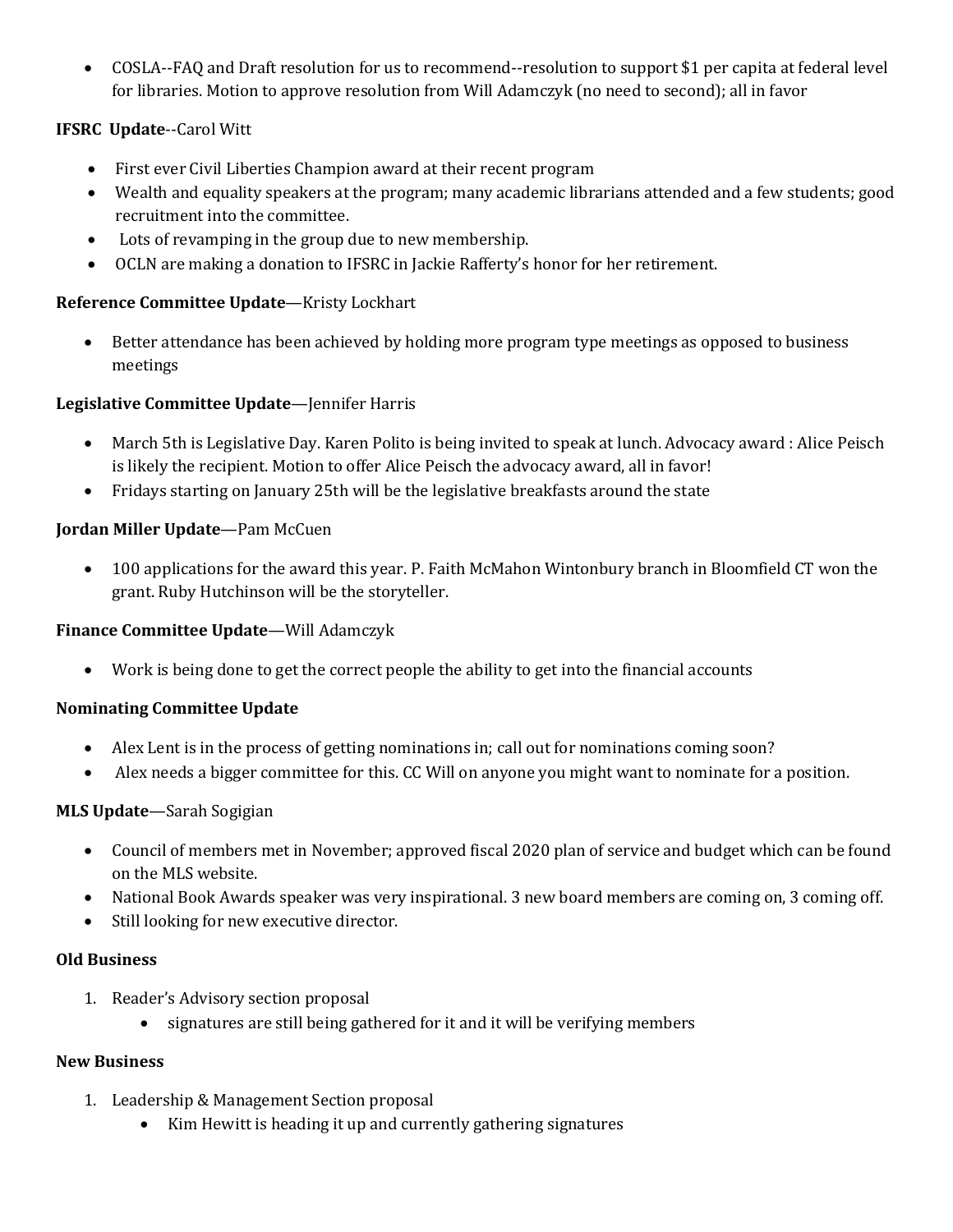COSLA--FAQ and Draft resolution for us to recommend--resolution to support \$1 per capita at federal level for libraries. Motion to approve resolution from Will Adamczyk (no need to second); all in favor

## **IFSRC Update**--Carol Witt

- First ever Civil Liberties Champion award at their recent program
- Wealth and equality speakers at the program; many academic librarians attended and a few students; good recruitment into the committee.
- Lots of revamping in the group due to new membership.
- OCLN are making a donation to IFSRC in Jackie Rafferty's honor for her retirement.

### **Reference Committee Update**—Kristy Lockhart

 Better attendance has been achieved by holding more program type meetings as opposed to business meetings

### **Legislative Committee Update**—Jennifer Harris

- March 5th is Legislative Day. Karen Polito is being invited to speak at lunch. Advocacy award : Alice Peisch is likely the recipient. Motion to offer Alice Peisch the advocacy award, all in favor!
- Fridays starting on January 25th will be the legislative breakfasts around the state

### **Jordan Miller Update**—Pam McCuen

 100 applications for the award this year. P. Faith McMahon Wintonbury branch in Bloomfield CT won the grant. Ruby Hutchinson will be the storyteller.

#### **Finance Committee Update**—Will Adamczyk

Work is being done to get the correct people the ability to get into the financial accounts

#### **Nominating Committee Update**

- Alex Lent is in the process of getting nominations in; call out for nominations coming soon?
- Alex needs a bigger committee for this. CC Will on anyone you might want to nominate for a position.

#### **MLS Update**—Sarah Sogigian

- Council of members met in November; approved fiscal 2020 plan of service and budget which can be found on the MLS website.
- National Book Awards speaker was very inspirational. 3 new board members are coming on, 3 coming off.
- Still looking for new executive director.

#### **Old Business**

- 1. Reader's Advisory section proposal
	- signatures are still being gathered for it and it will be verifying members

#### **New Business**

- 1. Leadership & Management Section proposal
	- Kim Hewitt is heading it up and currently gathering signatures